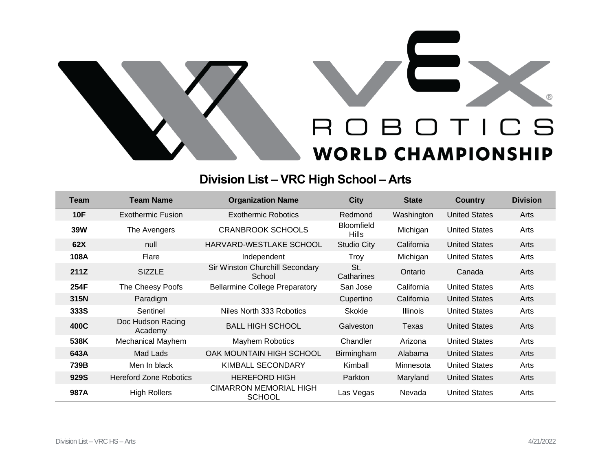



## **Division List – VRC High School – Arts**

| Team       | <b>Team Name</b>              | <b>Organization Name</b>                       | <b>City</b>                       | <b>State</b>    | <b>Country</b>       | <b>Division</b> |
|------------|-------------------------------|------------------------------------------------|-----------------------------------|-----------------|----------------------|-----------------|
| <b>10F</b> | Exothermic Fusion             | <b>Exothermic Robotics</b>                     | Redmond                           | Washington      | <b>United States</b> | Arts            |
| <b>39W</b> | The Avengers                  | <b>CRANBROOK SCHOOLS</b>                       | <b>Bloomfield</b><br><b>Hills</b> | Michigan        | <b>United States</b> | Arts            |
| 62X        | null                          | HARVARD-WESTLAKE SCHOOL                        | <b>Studio City</b>                | California      | <b>United States</b> | Arts            |
| 108A       | Flare                         | Independent                                    | Troy                              | Michigan        | <b>United States</b> | Arts            |
| 211Z       | <b>SIZZLE</b>                 | Sir Winston Churchill Secondary<br>School      | St.<br>Catharines                 | Ontario         | Canada               | Arts            |
| 254F       | The Cheesy Poofs              | <b>Bellarmine College Preparatory</b>          | San Jose                          | California      | <b>United States</b> | Arts            |
| 315N       | Paradigm                      |                                                | Cupertino                         | California      | <b>United States</b> | Arts            |
| 333S       | Sentinel                      | Niles North 333 Robotics                       | <b>Skokie</b>                     | <b>Illinois</b> | <b>United States</b> | Arts            |
| 400C       | Doc Hudson Racing<br>Academy  | <b>BALL HIGH SCHOOL</b>                        | Galveston                         | Texas           | <b>United States</b> | Arts            |
| 538K       | Mechanical Mayhem             | Mayhem Robotics                                | Chandler                          | Arizona         | <b>United States</b> | Arts            |
| 643A       | Mad Lads                      | OAK MOUNTAIN HIGH SCHOOL                       | Birmingham                        | Alabama         | <b>United States</b> | Arts            |
| 739B       | Men In black                  | <b>KIMBALL SECONDARY</b>                       | Kimball                           | Minnesota       | <b>United States</b> | Arts            |
| 929S       | <b>Hereford Zone Robotics</b> | <b>HEREFORD HIGH</b>                           | Parkton                           | Maryland        | <b>United States</b> | Arts            |
| 987A       | <b>High Rollers</b>           | <b>CIMARRON MEMORIAL HIGH</b><br><b>SCHOOL</b> | Las Vegas                         | Nevada          | <b>United States</b> | Arts            |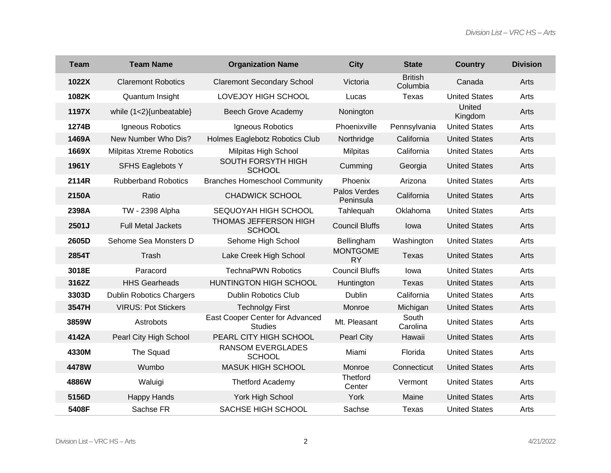| <b>Team</b> | <b>Team Name</b>                | <b>Organization Name</b>                          | <b>City</b>                  | <b>State</b>               | <b>Country</b>       | <b>Division</b> |
|-------------|---------------------------------|---------------------------------------------------|------------------------------|----------------------------|----------------------|-----------------|
| 1022X       | <b>Claremont Robotics</b>       | <b>Claremont Secondary School</b>                 | Victoria                     | <b>British</b><br>Columbia | Canada               | Arts            |
| 1082K       | Quantum Insight                 | LOVEJOY HIGH SCHOOL                               | Lucas                        | Texas                      | <b>United States</b> | Arts            |
| 1197X       | while (1<2){unbeatable}         | <b>Beech Grove Academy</b>                        | Nonington                    |                            | United<br>Kingdom    | Arts            |
| 1274B       | Igneous Robotics                | Igneous Robotics                                  | Phoenixville                 | Pennsylvania               | <b>United States</b> | Arts            |
| 1469A       | New Number Who Dis?             | Holmes Eaglebotz Robotics Club                    | Northridge                   | California                 | <b>United States</b> | Arts            |
| 1669X       | <b>Milpitas Xtreme Robotics</b> | Milpitas High School                              | <b>Milpitas</b>              | California                 | <b>United States</b> | Arts            |
| 1961Y       | <b>SFHS Eaglebots Y</b>         | SOUTH FORSYTH HIGH<br><b>SCHOOL</b>               | Cumming                      | Georgia                    | <b>United States</b> | Arts            |
| 2114R       | <b>Rubberband Robotics</b>      | <b>Branches Homeschool Community</b>              | Phoenix                      | Arizona                    | <b>United States</b> | Arts            |
| 2150A       | Ratio                           | <b>CHADWICK SCHOOL</b>                            | Palos Verdes<br>Peninsula    | California                 | <b>United States</b> | Arts            |
| 2398A       | <b>TW - 2398 Alpha</b>          | SEQUOYAH HIGH SCHOOL                              | Tahlequah                    | Oklahoma                   | <b>United States</b> | Arts            |
| 2501J       | <b>Full Metal Jackets</b>       | THOMAS JEFFERSON HIGH<br><b>SCHOOL</b>            | <b>Council Bluffs</b>        | lowa                       | <b>United States</b> | Arts            |
| 2605D       | Sehome Sea Monsters D           | Sehome High School                                | Bellingham                   | Washington                 | <b>United States</b> | Arts            |
| 2854T       | Trash                           | Lake Creek High School                            | <b>MONTGOME</b><br><b>RY</b> | Texas                      | <b>United States</b> | Arts            |
| 3018E       | Paracord                        | <b>TechnaPWN Robotics</b>                         | <b>Council Bluffs</b>        | lowa                       | <b>United States</b> | Arts            |
| 3162Z       | <b>HHS Gearheads</b>            | HUNTINGTON HIGH SCHOOL                            | Huntington                   | <b>Texas</b>               | <b>United States</b> | Arts            |
| 3303D       | <b>Dublin Robotics Chargers</b> | <b>Dublin Robotics Club</b>                       | Dublin                       | California                 | <b>United States</b> | Arts            |
| 3547H       | <b>VIRUS: Pot Stickers</b>      | <b>Technolgy First</b>                            | Monroe                       | Michigan                   | <b>United States</b> | Arts            |
| 3859W       | Astrobots                       | East Cooper Center for Advanced<br><b>Studies</b> | Mt. Pleasant                 | South<br>Carolina          | <b>United States</b> | Arts            |
| 4142A       | Pearl City High School          | PEARL CITY HIGH SCHOOL                            | <b>Pearl City</b>            | Hawaii                     | <b>United States</b> | Arts            |
| 4330M       | The Squad                       | RANSOM EVERGLADES<br><b>SCHOOL</b>                | Miami                        | Florida                    | <b>United States</b> | Arts            |
| 4478W       | Wumbo                           | <b>MASUK HIGH SCHOOL</b>                          | Monroe                       | Connecticut                | <b>United States</b> | Arts            |
| 4886W       | Waluigi                         | Thetford Academy                                  | <b>Thetford</b><br>Center    | Vermont                    | <b>United States</b> | Arts            |
| 5156D       | <b>Happy Hands</b>              | York High School                                  | York                         | Maine                      | <b>United States</b> | Arts            |
| 5408F       | Sachse FR                       | <b>SACHSE HIGH SCHOOL</b>                         | Sachse                       | <b>Texas</b>               | <b>United States</b> | Arts            |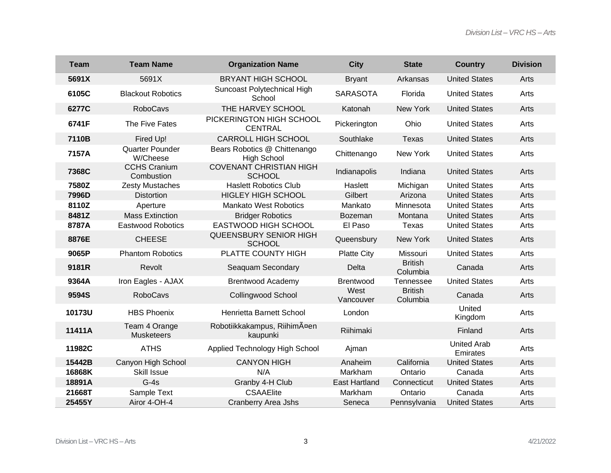| <b>Team</b> | <b>Team Name</b>                   | <b>Organization Name</b>                           | <b>City</b>          | <b>State</b>               | <b>Country</b>                 | <b>Division</b> |
|-------------|------------------------------------|----------------------------------------------------|----------------------|----------------------------|--------------------------------|-----------------|
| 5691X       | 5691X                              | <b>BRYANT HIGH SCHOOL</b>                          | <b>Bryant</b>        | Arkansas                   | <b>United States</b>           | Arts            |
| 6105C       | <b>Blackout Robotics</b>           | Suncoast Polytechnical High<br>School              | <b>SARASOTA</b>      | Florida                    | <b>United States</b>           | Arts            |
| 6277C       | <b>RoboCavs</b>                    | THE HARVEY SCHOOL                                  | Katonah              | New York                   | <b>United States</b>           | Arts            |
| 6741F       | The Five Fates                     | PICKERINGTON HIGH SCHOOL<br><b>CENTRAL</b>         | Pickerington         | Ohio                       | <b>United States</b>           | Arts            |
| 7110B       | Fired Up!                          | <b>CARROLL HIGH SCHOOL</b>                         | Southlake            | <b>Texas</b>               | <b>United States</b>           | Arts            |
| 7157A       | Quarter Pounder<br>W/Cheese        | Bears Robotics @ Chittenango<br><b>High School</b> | Chittenango          | New York                   | <b>United States</b>           | Arts            |
| 7368C       | <b>CCHS Cranium</b><br>Combustion  | <b>COVENANT CHRISTIAN HIGH</b><br><b>SCHOOL</b>    | Indianapolis         | Indiana                    | <b>United States</b>           | Arts            |
| 7580Z       | <b>Zesty Mustaches</b>             | <b>Haslett Robotics Club</b>                       | Haslett              | Michigan                   | <b>United States</b>           | Arts            |
| 7996D       | <b>Distortion</b>                  | <b>HIGLEY HIGH SCHOOL</b>                          | Gilbert              | Arizona                    | <b>United States</b>           | Arts            |
| 8110Z       | Aperture                           | <b>Mankato West Robotics</b>                       | Mankato              | Minnesota                  | <b>United States</b>           | Arts            |
| 8481Z       | <b>Mass Extinction</b>             | <b>Bridger Robotics</b>                            | <b>Bozeman</b>       | Montana                    | <b>United States</b>           | Arts            |
| 8787A       | <b>Eastwood Robotics</b>           | EASTWOOD HIGH SCHOOL                               | El Paso              | Texas                      | <b>United States</b>           | Arts            |
| 8876E       | <b>CHEESE</b>                      | QUEENSBURY SENIOR HIGH<br><b>SCHOOL</b>            | Queensbury           | New York                   | <b>United States</b>           | Arts            |
| 9065P       | <b>Phantom Robotics</b>            | PLATTE COUNTY HIGH                                 | <b>Platte City</b>   | Missouri                   | <b>United States</b>           | Arts            |
| 9181R       | Revolt                             | Seaquam Secondary                                  | Delta                | <b>British</b><br>Columbia | Canada                         | Arts            |
| 9364A       | Iron Eagles - AJAX                 | <b>Brentwood Academy</b>                           | <b>Brentwood</b>     | Tennessee                  | <b>United States</b>           | Arts            |
| 9594S       | <b>RoboCavs</b>                    | <b>Collingwood School</b>                          | West<br>Vancouver    | <b>British</b><br>Columbia | Canada                         | Arts            |
| 10173U      | <b>HBS Phoenix</b>                 | Henrietta Barnett School                           | London               |                            | United<br>Kingdom              | Arts            |
| 11411A      | Team 4 Orange<br><b>Musketeers</b> | Robotiikkakampus, RiihimĤen<br>kaupunki            | Riihimaki            |                            | Finland                        | Arts            |
| 11982C      | <b>ATHS</b>                        | Applied Technology High School                     | Ajman                |                            | <b>United Arab</b><br>Emirates | Arts            |
| 15442B      | Canyon High School                 | <b>CANYON HIGH</b>                                 | Anaheim              | California                 | <b>United States</b>           | Arts            |
| 16868K      | Skill Issue                        | N/A                                                | Markham              | Ontario                    | Canada                         | Arts            |
| 18891A      | $G-4s$                             | Granby 4-H Club                                    | <b>East Hartland</b> | Connecticut                | <b>United States</b>           | Arts            |
| 21668T      | Sample Text                        | <b>CSAAElite</b>                                   | Markham              | Ontario                    | Canada                         | Arts            |
| 25455Y      | Airor 4-OH-4                       | <b>Cranberry Area Jshs</b>                         | Seneca               | Pennsylvania               | <b>United States</b>           | Arts            |